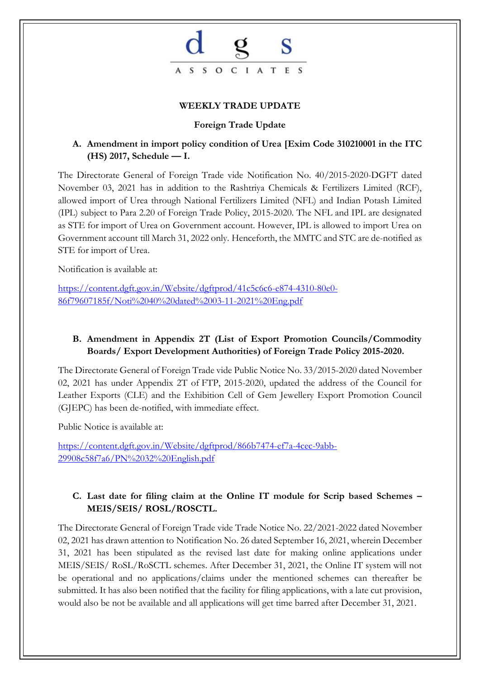

#### **WEEKLY TRADE UPDATE**

#### **Foreign Trade Update**

## **A. Amendment in import policy condition of Urea [Exim Code 310210001 in the ITC (HS) 2017, Schedule — I.**

The Directorate General of Foreign Trade vide Notification No. 40/2015-2020-DGFT dated November 03, 2021 has in addition to the Rashtriya Chemicals & Fertilizers Limited (RCF), allowed import of Urea through National Fertilizers Limited (NFL) and Indian Potash Limited (IPL) subject to Para 2.20 of Foreign Trade Policy, 2015-2020. The NFL and IPL are designated as STE for import of Urea on Government account. However, IPL is allowed to import Urea on Government account till March 31, 2022 only. Henceforth, the MMTC and STC are de-notified as STE for import of Urea.

Notification is available at:

[https://content.dgft.gov.in/Website/dgftprod/41c5c6c6-e874-4310-80e0-](https://content.dgft.gov.in/Website/dgftprod/41c5c6c6-e874-4310-80e0-86f79607185f/Noti%2040%20dated%2003-11-2021%20Eng.pdf) [86f79607185f/Noti%2040%20dated%2003-11-2021%20Eng.pdf](https://content.dgft.gov.in/Website/dgftprod/41c5c6c6-e874-4310-80e0-86f79607185f/Noti%2040%20dated%2003-11-2021%20Eng.pdf)

## **B. Amendment in Appendix 2T (List of Export Promotion Councils/Commodity Boards/ Export Development Authorities) of Foreign Trade Policy 2015-2020.**

The Directorate General of Foreign Trade vide Public Notice No. 33/2015-2020 dated November 02, 2021 has under Appendix 2T of FTP, 2015-2020, updated the address of the Council for Leather Exports (CLE) and the Exhibition Cell of Gem Jewellery Export Promotion Council (GJEPC) has been de-notified, with immediate effect.

Public Notice is available at:

[https://content.dgft.gov.in/Website/dgftprod/866b7474-ef7a-4cec-9abb-](https://content.dgft.gov.in/Website/dgftprod/866b7474-ef7a-4cec-9abb-29908c58f7a6/PN%2032%20English.pdf)[29908c58f7a6/PN%2032%20English.pdf](https://content.dgft.gov.in/Website/dgftprod/866b7474-ef7a-4cec-9abb-29908c58f7a6/PN%2032%20English.pdf)

## **C. Last date for filing claim at the Online IT module for Scrip based Schemes – MEIS/SEIS/ ROSL/ROSCTL.**

The Directorate General of Foreign Trade vide Trade Notice No. 22/2021-2022 dated November 02, 2021 has drawn attention to Notification No. 26 dated September 16, 2021, wherein December 31, 2021 has been stipulated as the revised last date for making online applications under MEIS/SEIS/ RoSL/RoSCTL schemes. After December 31, 2021, the Online IT system will not be operational and no applications/claims under the mentioned schemes can thereafter be submitted. It has also been notified that the facility for filing applications, with a late cut provision, would also be not be available and all applications will get time barred after December 31, 2021.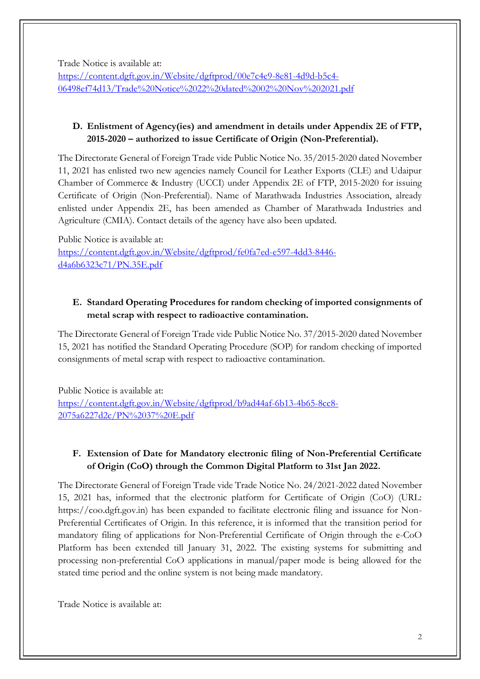Trade Notice is available at:

[https://content.dgft.gov.in/Website/dgftprod/00e7c4e9-8e81-4d9d-b5c4-](https://content.dgft.gov.in/Website/dgftprod/00e7c4e9-8e81-4d9d-b5c4-06498ef74d13/Trade%20Notice%2022%20dated%2002%20Nov%202021.pdf) [06498ef74d13/Trade%20Notice%2022%20dated%2002%20Nov%202021.pdf](https://content.dgft.gov.in/Website/dgftprod/00e7c4e9-8e81-4d9d-b5c4-06498ef74d13/Trade%20Notice%2022%20dated%2002%20Nov%202021.pdf)

## **D. Enlistment of Agency(ies) and amendment in details under Appendix 2E of FTP, 2015-2020 – authorized to issue Certificate of Origin (Non-Preferential).**

The Directorate General of Foreign Trade vide Public Notice No. 35/2015-2020 dated November 11, 2021 has enlisted two new agencies namely Council for Leather Exports (CLE) and Udaipur Chamber of Commerce & Industry (UCCI) under Appendix 2E of FTP, 2015-2020 for issuing Certificate of Origin (Non-Preferential). Name of Marathwada Industries Association, already enlisted under Appendix 2E, has been amended as Chamber of Marathwada Industries and Agriculture (CMIA). Contact details of the agency have also been updated.

Public Notice is available at: [https://content.dgft.gov.in/Website/dgftprod/fe0fa7ed-e597-4dd3-8446](https://content.dgft.gov.in/Website/dgftprod/fe0fa7ed-e597-4dd3-8446-d4a6b6323c71/PN.35E.pdf) [d4a6b6323c71/PN.35E.pdf](https://content.dgft.gov.in/Website/dgftprod/fe0fa7ed-e597-4dd3-8446-d4a6b6323c71/PN.35E.pdf)

## **E. Standard Operating Procedures for random checking of imported consignments of metal scrap with respect to radioactive contamination.**

The Directorate General of Foreign Trade vide Public Notice No. 37/2015-2020 dated November 15, 2021 has notified the Standard Operating Procedure (SOP) for random checking of imported consignments of metal scrap with respect to radioactive contamination.

Public Notice is available at: [https://content.dgft.gov.in/Website/dgftprod/b9ad44af-6b13-4b65-8cc8-](https://content.dgft.gov.in/Website/dgftprod/b9ad44af-6b13-4b65-8cc8-2075a6227d2c/PN%2037%20E.pdf) [2075a6227d2c/PN%2037%20E.pdf](https://content.dgft.gov.in/Website/dgftprod/b9ad44af-6b13-4b65-8cc8-2075a6227d2c/PN%2037%20E.pdf)

# **F. Extension of Date for Mandatory electronic filing of Non-Preferential Certificate of Origin (CoO) through the Common Digital Platform to 31st Jan 2022.**

The Directorate General of Foreign Trade vide Trade Notice No. 24/2021-2022 dated November 15, 2021 has, informed that the electronic platform for Certificate of Origin (CoO) (URL: https://coo.dgft.gov.in) has been expanded to facilitate electronic filing and issuance for Non-Preferential Certificates of Origin. In this reference, it is informed that the transition period for mandatory filing of applications for Non-Preferential Certificate of Origin through the e-CoO Platform has been extended till January 31, 2022. The existing systems for submitting and processing non-preferential CoO applications in manual/paper mode is being allowed for the stated time period and the online system is not being made mandatory.

Trade Notice is available at: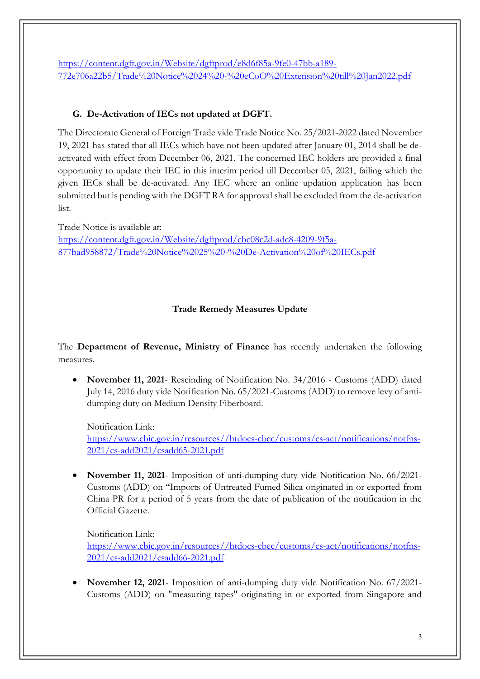[https://content.dgft.gov.in/Website/dgftprod/e8d6f85a-9fe0-47bb-a189-](https://content.dgft.gov.in/Website/dgftprod/e8d6f85a-9fe0-47bb-a189-772e706a22b5/Trade%20Notice%2024%20-%20eCoO%20Extension%20till%20Jan2022.pdf) [772e706a22b5/Trade%20Notice%2024%20-%20eCoO%20Extension%20till%20Jan2022.pdf](https://content.dgft.gov.in/Website/dgftprod/e8d6f85a-9fe0-47bb-a189-772e706a22b5/Trade%20Notice%2024%20-%20eCoO%20Extension%20till%20Jan2022.pdf)

## **G. De-Activation of IECs not updated at DGFT.**

The Directorate General of Foreign Trade vide Trade Notice No. 25/2021-2022 dated November 19, 2021 has stated that all IECs which have not been updated after January 01, 2014 shall be deactivated with effect from December 06, 2021. The concerned IEC holders are provided a final opportunity to update their IEC in this interim period till December 05, 2021, failing which the given IECs shall be de-activated. Any IEC where an online updation application has been submitted but is pending with the DGFT RA for approval shall be excluded from the de-activation list.

Trade Notice is available at: [https://content.dgft.gov.in/Website/dgftprod/cbc08c2d-adc8-4209-9f5a-](https://content.dgft.gov.in/Website/dgftprod/cbc08c2d-adc8-4209-9f5a-877bad958872/Trade%20Notice%2025%20-%20De-Activation%20of%20IECs.pdf)[877bad958872/Trade%20Notice%2025%20-%20De-Activation%20of%20IECs.pdf](https://content.dgft.gov.in/Website/dgftprod/cbc08c2d-adc8-4209-9f5a-877bad958872/Trade%20Notice%2025%20-%20De-Activation%20of%20IECs.pdf)

## **Trade Remedy Measures Update**

The **Department of Revenue, Ministry of Finance** has recently undertaken the following measures.

• **November 11, 2021**- Rescinding of Notification No. 34/2016 - Customs (ADD) dated July 14, 2016 duty vide Notification No. 65/2021-Customs (ADD) to remove levy of antidumping duty on Medium Density Fiberboard.

Notification Link: [https://www.cbic.gov.in/resources//htdocs-cbec/customs/cs-act/notifications/notfns-](https://www.cbic.gov.in/resources/htdocs-cbec/customs/cs-act/notifications/notfns-2021/cs-add2021/csadd65-2021.pdf)[2021/cs-add2021/csadd65-2021.pdf](https://www.cbic.gov.in/resources/htdocs-cbec/customs/cs-act/notifications/notfns-2021/cs-add2021/csadd65-2021.pdf)

• **November 11, 2021**- Imposition of anti-dumping duty vide Notification No. 66/2021- Customs (ADD) on "Imports of Untreated Fumed Silica originated in or exported from China PR for a period of 5 years from the date of publication of the notification in the Official Gazette.

Notification Link: [https://www.cbic.gov.in/resources//htdocs-cbec/customs/cs-act/notifications/notfns-](https://www.cbic.gov.in/resources/htdocs-cbec/customs/cs-act/notifications/notfns-2021/cs-add2021/csadd66-2021.pdf)[2021/cs-add2021/csadd66-2021.pdf](https://www.cbic.gov.in/resources/htdocs-cbec/customs/cs-act/notifications/notfns-2021/cs-add2021/csadd66-2021.pdf)

• **November 12, 2021**- Imposition of anti-dumping duty vide Notification No. 67/2021- Customs (ADD) on "measuring tapes" originating in or exported from Singapore and